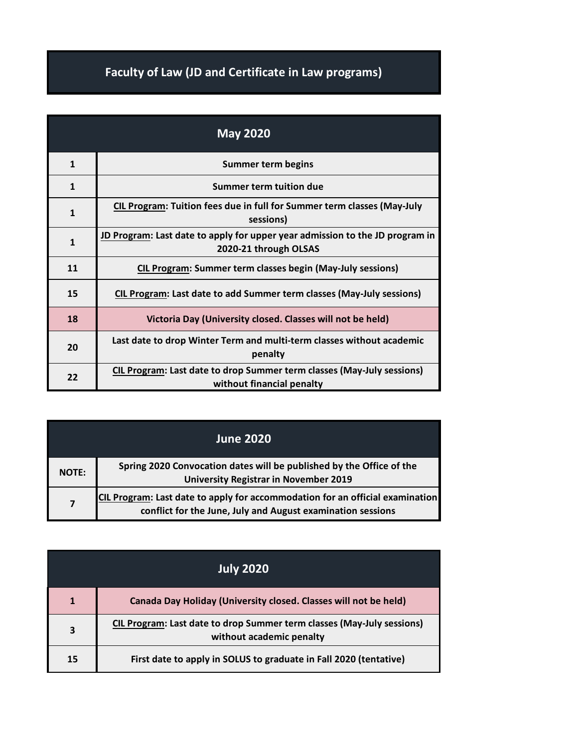## **Faculty of Law (JD and Certificate in Law programs)**

| <b>May 2020</b> |                                                                                                              |
|-----------------|--------------------------------------------------------------------------------------------------------------|
| $\mathbf{1}$    | <b>Summer term begins</b>                                                                                    |
| $\mathbf{1}$    | Summer term tuition due                                                                                      |
| $\mathbf{1}$    | CIL Program: Tuition fees due in full for Summer term classes (May-July<br>sessions)                         |
| $\mathbf{1}$    | <b>JD Program: Last date to apply for upper year admission to the JD program in</b><br>2020-21 through OLSAS |
| 11              | <b>CIL Program: Summer term classes begin (May-July sessions)</b>                                            |
| 15              | CIL Program: Last date to add Summer term classes (May-July sessions)                                        |
| 18              | Victoria Day (University closed. Classes will not be held)                                                   |
| 20              | Last date to drop Winter Term and multi-term classes without academic<br>penalty                             |
| 22              | CIL Program: Last date to drop Summer term classes (May-July sessions)<br>without financial penalty          |

|                         | <b>June 2020</b>                                                                                                                             |
|-------------------------|----------------------------------------------------------------------------------------------------------------------------------------------|
| <b>NOTE:</b>            | Spring 2020 Convocation dates will be published by the Office of the<br><b>University Registrar in November 2019</b>                         |
| $\overline{\mathbf{z}}$ | CIL Program: Last date to apply for accommodation for an official examination<br>conflict for the June, July and August examination sessions |

|    | <b>July 2020</b>                                                                                   |
|----|----------------------------------------------------------------------------------------------------|
| 1  | Canada Day Holiday (University closed. Classes will not be held)                                   |
| 3  | CIL Program: Last date to drop Summer term classes (May-July sessions)<br>without academic penalty |
| 15 | First date to apply in SOLUS to graduate in Fall 2020 (tentative)                                  |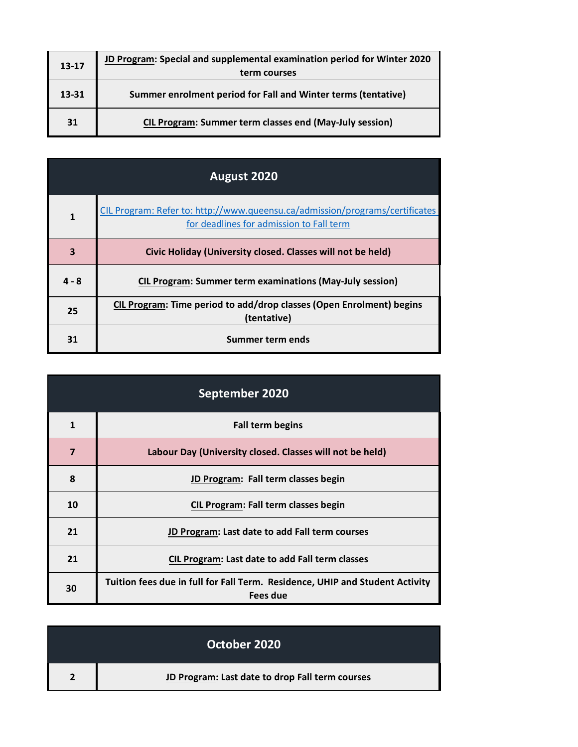| 13-17 | JD Program: Special and supplemental examination period for Winter 2020<br>term courses |
|-------|-----------------------------------------------------------------------------------------|
| 13-31 | Summer enrolment period for Fall and Winter terms (tentative)                           |
| 31    | <b>CIL Program: Summer term classes end (May-July session)</b>                          |

| August 2020 |                                                                                                                          |
|-------------|--------------------------------------------------------------------------------------------------------------------------|
| 1           | CIL Program: Refer to: http://www.queensu.ca/admission/programs/certificates<br>for deadlines for admission to Fall term |
| 3           | Civic Holiday (University closed. Classes will not be held)                                                              |
| $4 - 8$     | <b>CIL Program: Summer term examinations (May-July session)</b>                                                          |
| 25          | CIL Program: Time period to add/drop classes (Open Enrolment) begins<br>(tentative)                                      |
| 31          | Summer term ends                                                                                                         |

| September 2020 |                                                                                          |
|----------------|------------------------------------------------------------------------------------------|
| 1              | <b>Fall term begins</b>                                                                  |
| $\overline{7}$ | Labour Day (University closed. Classes will not be held)                                 |
| 8              | JD Program: Fall term classes begin                                                      |
| 10             | <b>CIL Program: Fall term classes begin</b>                                              |
| 21             | JD Program: Last date to add Fall term courses                                           |
| 21             | <b>CIL Program: Last date to add Fall term classes</b>                                   |
| 30             | Tuition fees due in full for Fall Term. Residence, UHIP and Student Activity<br>Fees due |

| October 2020                                    |
|-------------------------------------------------|
| JD Program: Last date to drop Fall term courses |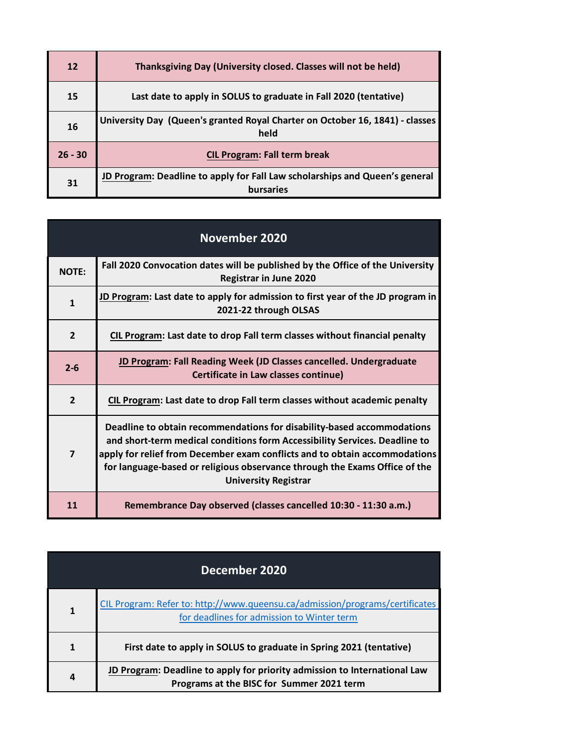| 12        | Thanksgiving Day (University closed. Classes will not be held)                                  |
|-----------|-------------------------------------------------------------------------------------------------|
| 15        | Last date to apply in SOLUS to graduate in Fall 2020 (tentative)                                |
| 16        | University Day (Queen's granted Royal Charter on October 16, 1841) - classes<br>held            |
| $26 - 30$ | <b>CIL Program: Fall term break</b>                                                             |
| 31        | JD Program: Deadline to apply for Fall Law scholarships and Queen's general<br><b>bursaries</b> |

|                | <b>November 2020</b>                                                                                                                                                                                                                                                                                                                            |
|----------------|-------------------------------------------------------------------------------------------------------------------------------------------------------------------------------------------------------------------------------------------------------------------------------------------------------------------------------------------------|
| <b>NOTE:</b>   | Fall 2020 Convocation dates will be published by the Office of the University<br>Registrar in June 2020                                                                                                                                                                                                                                         |
| $\mathbf{1}$   | JD Program: Last date to apply for admission to first year of the JD program in<br>2021-22 through OLSAS                                                                                                                                                                                                                                        |
| $\overline{2}$ | CIL Program: Last date to drop Fall term classes without financial penalty                                                                                                                                                                                                                                                                      |
| $2 - 6$        | JD Program: Fall Reading Week (JD Classes cancelled. Undergraduate<br>Certificate in Law classes continue)                                                                                                                                                                                                                                      |
| $\overline{2}$ | CIL Program: Last date to drop Fall term classes without academic penalty                                                                                                                                                                                                                                                                       |
| $\overline{7}$ | Deadline to obtain recommendations for disability-based accommodations<br>and short-term medical conditions form Accessibility Services. Deadline to<br>apply for relief from December exam conflicts and to obtain accommodations<br>for language-based or religious observance through the Exams Office of the<br><b>University Registrar</b> |
| 11             | Remembrance Day observed (classes cancelled 10:30 - 11:30 a.m.)                                                                                                                                                                                                                                                                                 |

| December 2020 |                                                                                                                            |
|---------------|----------------------------------------------------------------------------------------------------------------------------|
| 1             | CIL Program: Refer to: http://www.queensu.ca/admission/programs/certificates<br>for deadlines for admission to Winter term |
| 1             | First date to apply in SOLUS to graduate in Spring 2021 (tentative)                                                        |
| 4             | JD Program: Deadline to apply for priority admission to International Law<br>Programs at the BISC for Summer 2021 term     |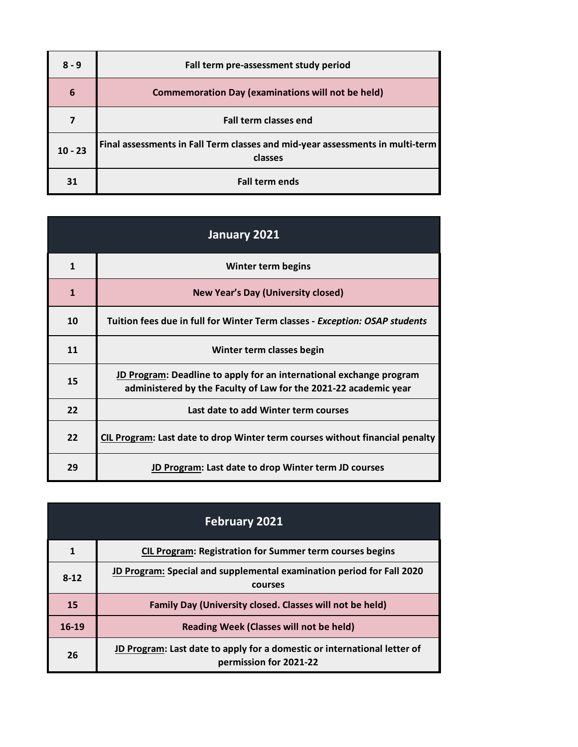| $8 - 9$         | Fall term pre-assessment study period                                                    |
|-----------------|------------------------------------------------------------------------------------------|
| $6\phantom{1}6$ | <b>Commemoration Day (examinations will not be held)</b>                                 |
|                 | <b>Fall term classes end</b>                                                             |
| $10 - 23$       | Final assessments in Fall Term classes and mid-year assessments in multi-term<br>classes |
| 31              | <b>Fall term ends</b>                                                                    |

| January 2021 |                                                                                                                                         |
|--------------|-----------------------------------------------------------------------------------------------------------------------------------------|
| $\mathbf{1}$ | Winter term begins                                                                                                                      |
| $\mathbf{1}$ | <b>New Year's Day (University closed)</b>                                                                                               |
| 10           | Tuition fees due in full for Winter Term classes - Exception: OSAP students                                                             |
| 11           | Winter term classes begin                                                                                                               |
| 15           | JD Program: Deadline to apply for an international exchange program<br>administered by the Faculty of Law for the 2021-22 academic year |
| 22           | Last date to add Winter term courses                                                                                                    |
| 22           | CIL Program: Last date to drop Winter term courses without financial penalty                                                            |
| 29           | JD Program: Last date to drop Winter term JD courses                                                                                    |

|        | <b>February 2021</b>                                                                               |
|--------|----------------------------------------------------------------------------------------------------|
| 1      | <b>CIL Program: Registration for Summer term courses begins</b>                                    |
| $8-12$ | JD Program: Special and supplemental examination period for Fall 2020<br>courses                   |
| 15     | Family Day (University closed. Classes will not be held)                                           |
| 16-19  | Reading Week (Classes will not be held)                                                            |
| 26     | JD Program: Last date to apply for a domestic or international letter of<br>permission for 2021-22 |

L,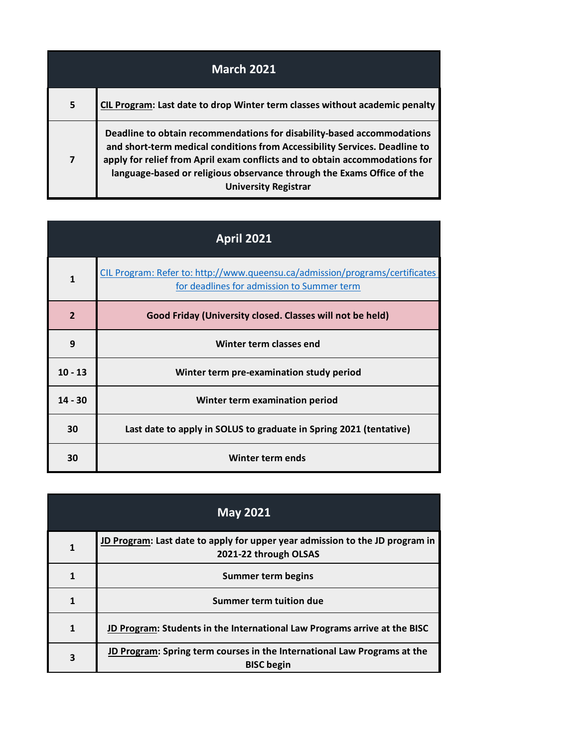| <b>March 2021</b>       |                                                                                                                                                                                                                                                                                                                                              |
|-------------------------|----------------------------------------------------------------------------------------------------------------------------------------------------------------------------------------------------------------------------------------------------------------------------------------------------------------------------------------------|
| 5                       | CIL Program: Last date to drop Winter term classes without academic penalty                                                                                                                                                                                                                                                                  |
| $\overline{\mathbf{z}}$ | Deadline to obtain recommendations for disability-based accommodations<br>and short-term medical conditions from Accessibility Services. Deadline to<br>apply for relief from April exam conflicts and to obtain accommodations for<br>language-based or religious observance through the Exams Office of the<br><b>University Registrar</b> |

| <b>April 2021</b> |                                                                                                                            |
|-------------------|----------------------------------------------------------------------------------------------------------------------------|
| $\mathbf{1}$      | CIL Program: Refer to: http://www.queensu.ca/admission/programs/certificates<br>for deadlines for admission to Summer term |
| $\overline{2}$    | Good Friday (University closed. Classes will not be held)                                                                  |
| 9                 | Winter term classes end                                                                                                    |
| $10 - 13$         | Winter term pre-examination study period                                                                                   |
| $14 - 30$         | Winter term examination period                                                                                             |
| 30                | Last date to apply in SOLUS to graduate in Spring 2021 (tentative)                                                         |
| 30                | Winter term ends                                                                                                           |

|              | <b>May 2021</b>                                                                                              |
|--------------|--------------------------------------------------------------------------------------------------------------|
| $\mathbf{1}$ | <b>JD Program:</b> Last date to apply for upper year admission to the JD program in<br>2021-22 through OLSAS |
| 1            | Summer term begins                                                                                           |
| 1            | Summer term tuition due                                                                                      |
| $\mathbf{1}$ | JD Program: Students in the International Law Programs arrive at the BISC                                    |
| 3            | JD Program: Spring term courses in the International Law Programs at the<br><b>BISC</b> begin                |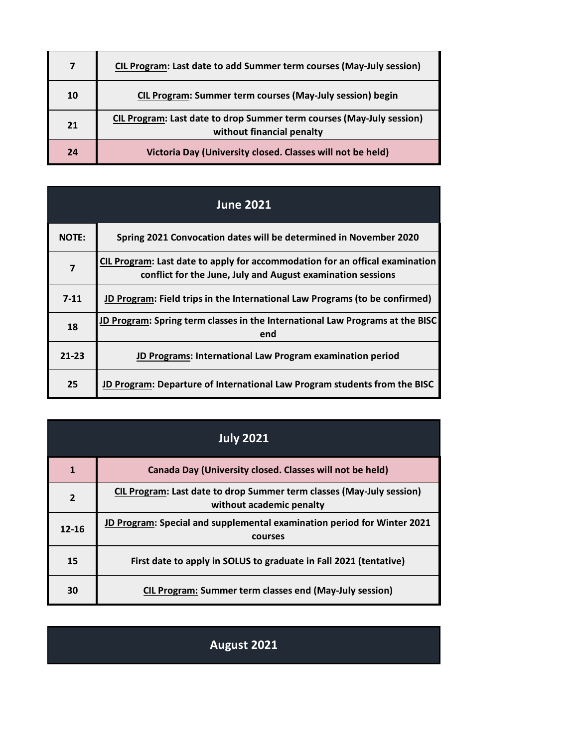| 7  | CIL Program: Last date to add Summer term courses (May-July session)                               |
|----|----------------------------------------------------------------------------------------------------|
| 10 | CIL Program: Summer term courses (May-July session) begin                                          |
| 21 | CIL Program: Last date to drop Summer term courses (May-July session)<br>without financial penalty |
| 24 | Victoria Day (University closed. Classes will not be held)                                         |

| <b>June 2021</b> |                                                                                                                                             |
|------------------|---------------------------------------------------------------------------------------------------------------------------------------------|
| <b>NOTE:</b>     | Spring 2021 Convocation dates will be determined in November 2020                                                                           |
| $\overline{7}$   | CIL Program: Last date to apply for accommodation for an offical examination<br>conflict for the June, July and August examination sessions |
| $7-11$           | JD Program: Field trips in the International Law Programs (to be confirmed)                                                                 |
| 18               | JD Program: Spring term classes in the International Law Programs at the BISC<br>end                                                        |
| $21 - 23$        | JD Programs: International Law Program examination period                                                                                   |
| 25               | JD Program: Departure of International Law Program students from the BISC                                                                   |

| <b>July 2021</b> |                                                                                                   |
|------------------|---------------------------------------------------------------------------------------------------|
| 1                | Canada Day (University closed. Classes will not be held)                                          |
| $\overline{2}$   | CIL Program: Last date to drop Summer term classes (May-July session)<br>without academic penalty |
| $12 - 16$        | JD Program: Special and supplemental examination period for Winter 2021<br>courses                |
| 15               | First date to apply in SOLUS to graduate in Fall 2021 (tentative)                                 |
| 30               | <b>CIL Program: Summer term classes end (May-July session)</b>                                    |

## **August 2021**